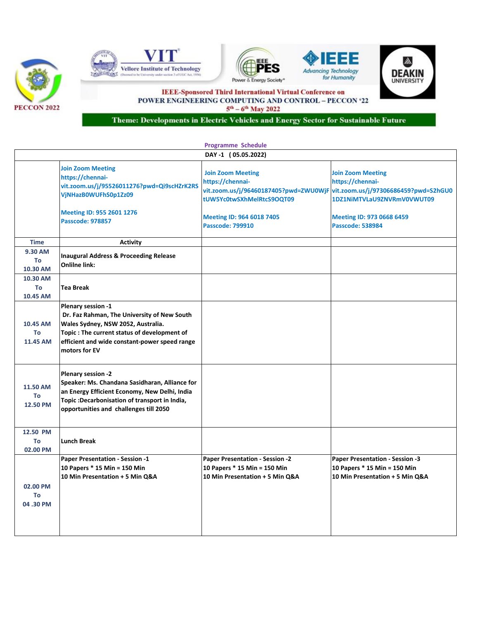









**IEEE-Sponsored Third International Virtual Conference on** POWER ENGINEERING COMPUTING AND CONTROL - PECCON '22  $5^{\text{th}} - 6^{\text{th}}$  May 2022

Theme: Developments in Electric Vehicles and Energy Sector for Sustainable Future

| <b>Programme Schedule</b>         |                                                                                                                                                                                                                          |                                                                                                                                                                                                                 |                                                                                                                                    |  |  |
|-----------------------------------|--------------------------------------------------------------------------------------------------------------------------------------------------------------------------------------------------------------------------|-----------------------------------------------------------------------------------------------------------------------------------------------------------------------------------------------------------------|------------------------------------------------------------------------------------------------------------------------------------|--|--|
|                                   | DAY-1 (05.05.2022)                                                                                                                                                                                                       |                                                                                                                                                                                                                 |                                                                                                                                    |  |  |
|                                   | <b>Join Zoom Meeting</b><br>https://chennai-<br>vit.zoom.us/j/95526011276?pwd=Qi9scHZrK2RS<br>VjNHazB0WUFhS0p1Zz09<br>Meeting ID: 955 2601 1276<br><b>Passcode: 978857</b>                                               | <b>Join Zoom Meeting</b><br>https://chennai-<br>vit.zoom.us/j/96460187405?pwd=ZWU0WjF vit.zoom.us/j/97306686459?pwd=S2hGU0<br>tUW5Yc0twSXhMelRtcS9OQT09<br>Meeting ID: 964 6018 7405<br><b>Passcode: 799910</b> | <b>Join Zoom Meeting</b><br>https://chennai-<br>1DZ1NiMTVLaU9ZNVRmV0VWUT09<br>Meeting ID: 973 0668 6459<br><b>Passcode: 538984</b> |  |  |
| <b>Time</b>                       | <b>Activity</b>                                                                                                                                                                                                          |                                                                                                                                                                                                                 |                                                                                                                                    |  |  |
| 9.30 AM                           |                                                                                                                                                                                                                          |                                                                                                                                                                                                                 |                                                                                                                                    |  |  |
| To<br>10.30 AM                    | <b>Inaugural Address &amp; Proceeding Release</b><br><b>Onlilne link:</b>                                                                                                                                                |                                                                                                                                                                                                                 |                                                                                                                                    |  |  |
| 10.30 AM<br>To<br>10.45 AM        | <b>Tea Break</b>                                                                                                                                                                                                         |                                                                                                                                                                                                                 |                                                                                                                                    |  |  |
| 10.45 AM<br>To<br>11.45 AM        | Plenary session -1<br>Dr. Faz Rahman, The University of New South<br>Wales Sydney, NSW 2052, Australia.<br>Topic: The current status of development of<br>efficient and wide constant-power speed range<br>motors for EV |                                                                                                                                                                                                                 |                                                                                                                                    |  |  |
| 11.50 AM<br>To<br>12.50 PM        | Plenary session -2<br>Speaker: Ms. Chandana Sasidharan, Alliance for<br>an Energy Efficient Economy, New Delhi, India<br>Topic: Decarbonisation of transport in India,<br>opportunities and challenges till 2050         |                                                                                                                                                                                                                 |                                                                                                                                    |  |  |
| 12.50 PM<br><b>To</b><br>02.00 PM | <b>Lunch Break</b>                                                                                                                                                                                                       |                                                                                                                                                                                                                 |                                                                                                                                    |  |  |
| 02.00 PM<br>To<br>04.30 PM        | Paper Presentation - Session -1<br>10 Papers * 15 Min = 150 Min<br>10 Min Presentation + 5 Min Q&A                                                                                                                       | Paper Presentation - Session -2<br>10 Papers * 15 Min = 150 Min<br>10 Min Presentation + 5 Min Q&A                                                                                                              | Paper Presentation - Session -3<br>10 Papers * 15 Min = 150 Min<br>10 Min Presentation + 5 Min Q&A                                 |  |  |